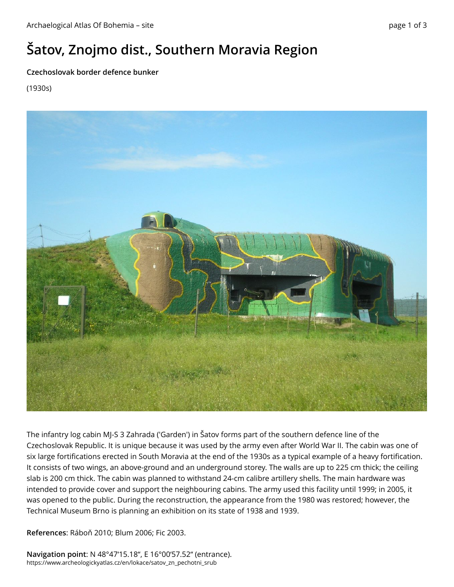## **Šatov, Znojmo dist., Southern Moravia Region**

## **Czechoslovak border defence bunker**

(1930s)



The infantry log cabin MJ-S 3 Zahrada ('Garden') in Šatov forms part of the southern defence line of the Czechoslovak Republic. It is unique because it was used by the army even after World War II. The cabin was one of six large fortifications erected in South Moravia at the end of the 1930s as a typical example of a heavy fortification. It consists of two wings, an above-ground and an underground storey. The walls are up to 225 cm thick; the ceiling slab is 200 cm thick. The cabin was planned to withstand 24-cm calibre artillery shells. The main hardware was intended to provide cover and support the neighbouring cabins. The army used this facility until 1999; in 2005, it was opened to the public. During the reconstruction, the appearance from the 1980 was restored; however, the Technical Museum Brno is planning an exhibition on its state of 1938 and 1939.

**References**: Ráboň 2010; Blum 2006; Fic 2003.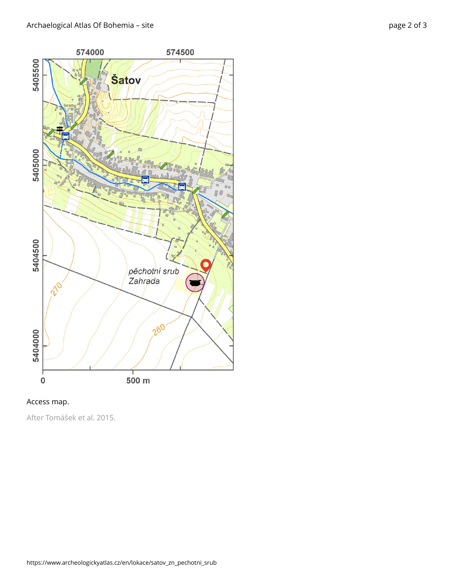



After Tomášek et al. 2015.